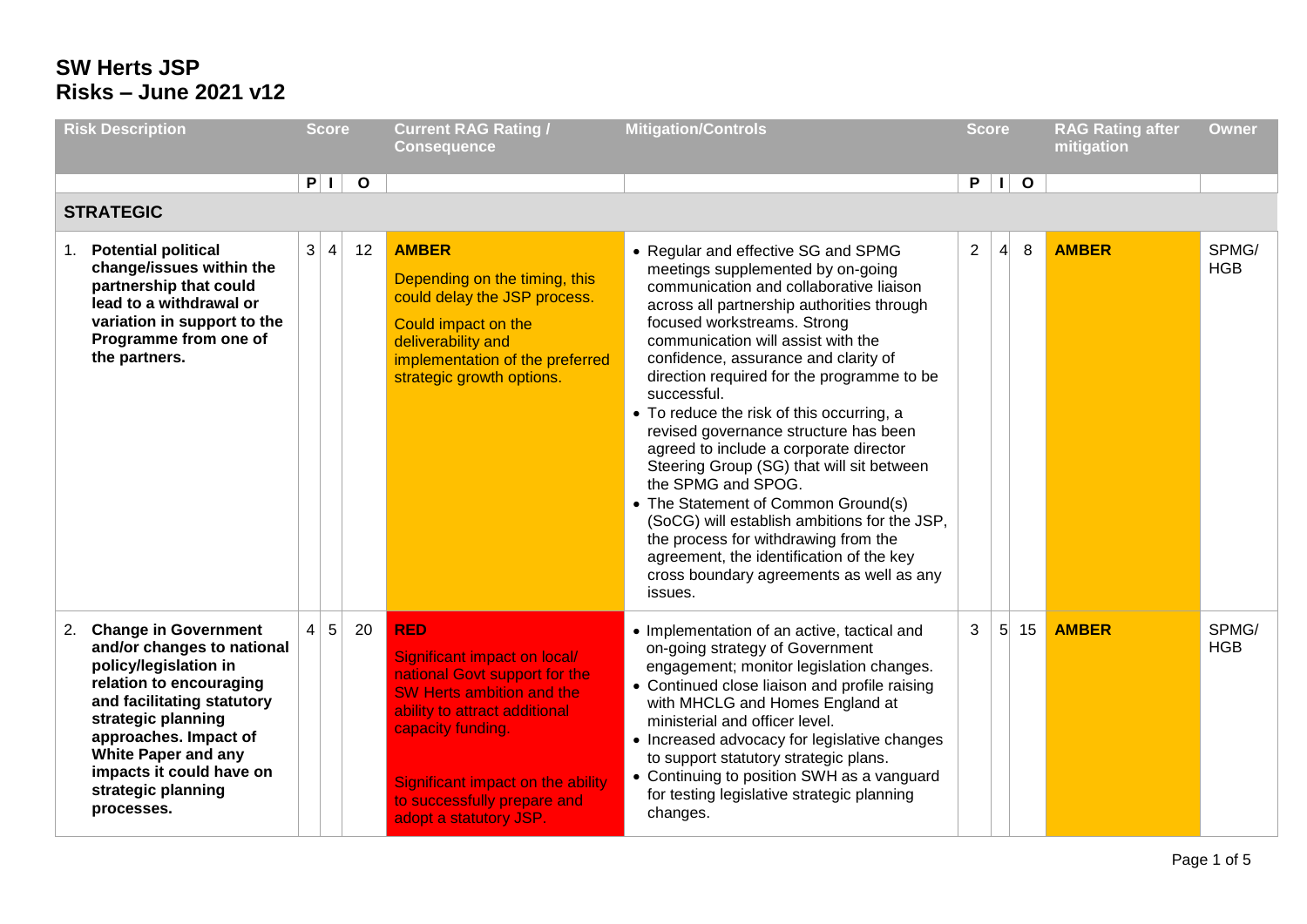| <b>Risk Description</b><br><b>Score</b>                                                                                                                                                                                                                                       |                | <b>Current RAG Rating /</b><br><b>Consequence</b> | <b>Mitigation/Controls</b> | <b>Score</b>                                                                                                                                                                                                                                                        |                                                                                                                                                                                                                                                                                                                                                                                                                                                                                                                                                                                                                                                                                                                                                                                  |                | <b>RAG Rating after</b><br>mitigation | <b>Owner</b> |              |                     |
|-------------------------------------------------------------------------------------------------------------------------------------------------------------------------------------------------------------------------------------------------------------------------------|----------------|---------------------------------------------------|----------------------------|---------------------------------------------------------------------------------------------------------------------------------------------------------------------------------------------------------------------------------------------------------------------|----------------------------------------------------------------------------------------------------------------------------------------------------------------------------------------------------------------------------------------------------------------------------------------------------------------------------------------------------------------------------------------------------------------------------------------------------------------------------------------------------------------------------------------------------------------------------------------------------------------------------------------------------------------------------------------------------------------------------------------------------------------------------------|----------------|---------------------------------------|--------------|--------------|---------------------|
| <b>STRATEGIC</b>                                                                                                                                                                                                                                                              |                | P I                                               | $\mathbf{o}$               |                                                                                                                                                                                                                                                                     |                                                                                                                                                                                                                                                                                                                                                                                                                                                                                                                                                                                                                                                                                                                                                                                  |                |                                       | $P$    0     |              |                     |
| 1. Potential political<br>change/issues within the<br>partnership that could<br>lead to a withdrawal or<br>variation in support to the<br>Programme from one of<br>the partners.                                                                                              | 3              | $\overline{4}$                                    | 12                         | <b>AMBER</b><br>Depending on the timing, this<br>could delay the JSP process.<br>Could impact on the<br>deliverability and<br>implementation of the preferred<br>strategic growth options.                                                                          | • Regular and effective SG and SPMG<br>meetings supplemented by on-going<br>communication and collaborative liaison<br>across all partnership authorities through<br>focused workstreams. Strong<br>communication will assist with the<br>confidence, assurance and clarity of<br>direction required for the programme to be<br>successful.<br>• To reduce the risk of this occurring, a<br>revised governance structure has been<br>agreed to include a corporate director<br>Steering Group (SG) that will sit between<br>the SPMG and SPOG.<br>• The Statement of Common Ground(s)<br>(SoCG) will establish ambitions for the JSP,<br>the process for withdrawing from the<br>agreement, the identification of the key<br>cross boundary agreements as well as any<br>issues. | $\overline{2}$ | $\vert 4 \vert$                       | 8            | <b>AMBER</b> | SPMG/<br><b>HGB</b> |
| 2. Change in Government<br>and/or changes to national<br>policy/legislation in<br>relation to encouraging<br>and facilitating statutory<br>strategic planning<br>approaches. Impact of<br>White Paper and any<br>impacts it could have on<br>strategic planning<br>processes. | $\overline{4}$ | $5\phantom{.0}$                                   | 20                         | <b>RED</b><br>Significant impact on local/<br>national Govt support for the<br><b>SW Herts ambition and the</b><br>ability to attract additional<br>capacity funding.<br>Significant impact on the ability<br>to successfully prepare and<br>adopt a statutory JSP. | • Implementation of an active, tactical and<br>on-going strategy of Government<br>engagement; monitor legislation changes.<br>• Continued close liaison and profile raising<br>with MHCLG and Homes England at<br>ministerial and officer level.<br>• Increased advocacy for legislative changes<br>to support statutory strategic plans.<br>• Continuing to position SWH as a vanguard<br>for testing legislative strategic planning<br>changes.                                                                                                                                                                                                                                                                                                                                | 3              | 5 <sup>1</sup>                        | 15           | <b>AMBER</b> | SPMG/<br><b>HGB</b> |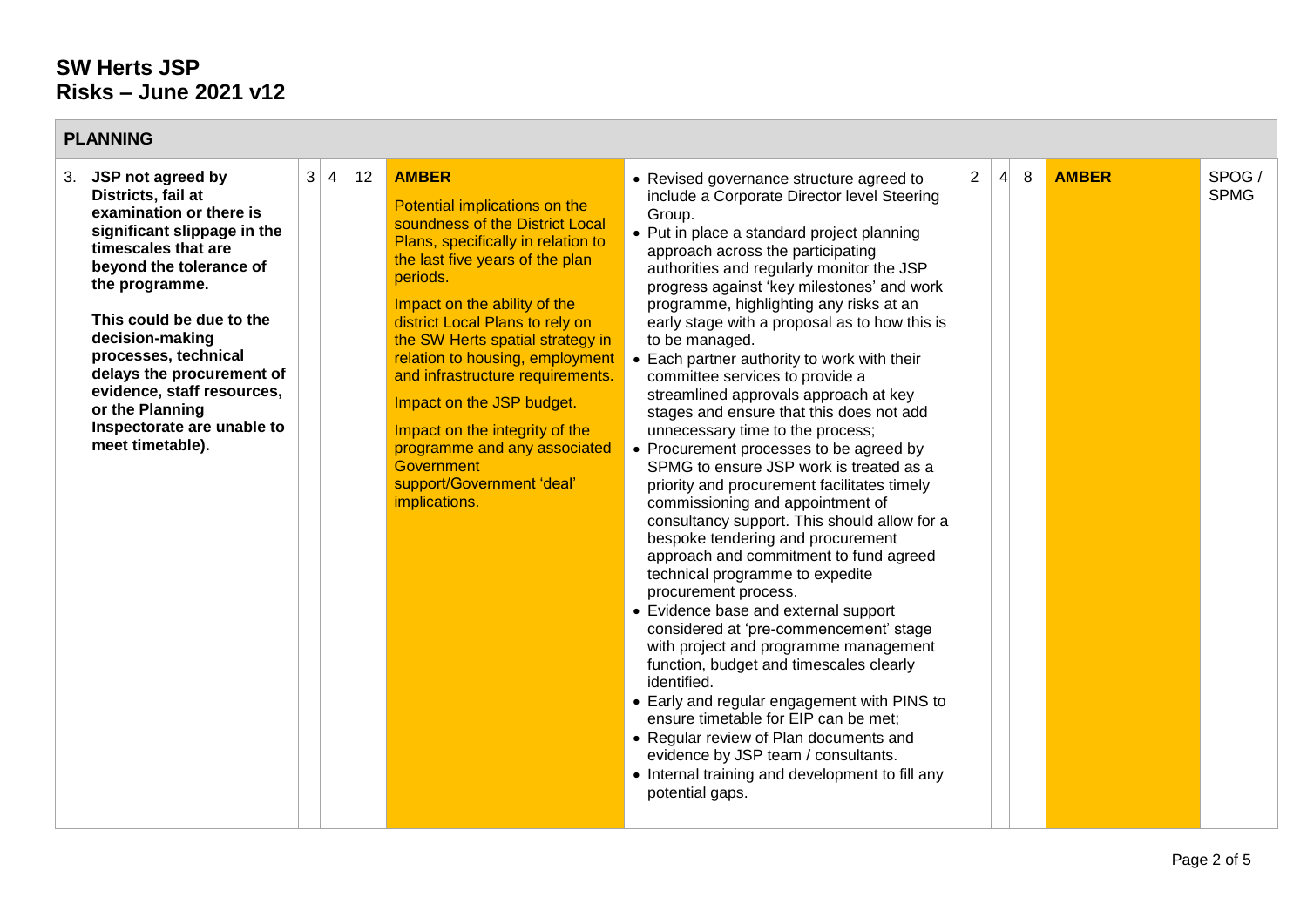**Contract Contract** 

| <b>PLANNING</b>                                                                                                                                                                                                                                                                                                                                                                    |                |                 |    |                                                                                                                                                                                                                                                                                                                                                                                                                                                                                                                       |                                                                                                                                                                                                                                                                                                                                                                                                                                                                                                                                                                                                                                                                                                                                                                                                                                                                                                                                                                                                                                                                                                                                                                                                                                                                                                                                                                                                                |                |                 |   |              |                      |
|------------------------------------------------------------------------------------------------------------------------------------------------------------------------------------------------------------------------------------------------------------------------------------------------------------------------------------------------------------------------------------|----------------|-----------------|----|-----------------------------------------------------------------------------------------------------------------------------------------------------------------------------------------------------------------------------------------------------------------------------------------------------------------------------------------------------------------------------------------------------------------------------------------------------------------------------------------------------------------------|----------------------------------------------------------------------------------------------------------------------------------------------------------------------------------------------------------------------------------------------------------------------------------------------------------------------------------------------------------------------------------------------------------------------------------------------------------------------------------------------------------------------------------------------------------------------------------------------------------------------------------------------------------------------------------------------------------------------------------------------------------------------------------------------------------------------------------------------------------------------------------------------------------------------------------------------------------------------------------------------------------------------------------------------------------------------------------------------------------------------------------------------------------------------------------------------------------------------------------------------------------------------------------------------------------------------------------------------------------------------------------------------------------------|----------------|-----------------|---|--------------|----------------------|
| JSP not agreed by<br>3.<br>Districts, fail at<br>examination or there is<br>significant slippage in the<br>timescales that are<br>beyond the tolerance of<br>the programme.<br>This could be due to the<br>decision-making<br>processes, technical<br>delays the procurement of<br>evidence, staff resources,<br>or the Planning<br>Inspectorate are unable to<br>meet timetable). | 3 <sup>2</sup> | $\vert 4 \vert$ | 12 | <b>AMBER</b><br>Potential implications on the<br>soundness of the District Local<br>Plans, specifically in relation to<br>the last five years of the plan<br>periods.<br>Impact on the ability of the<br>district Local Plans to rely on<br>the SW Herts spatial strategy in<br>relation to housing, employment<br>and infrastructure requirements.<br>Impact on the JSP budget.<br>Impact on the integrity of the<br>programme and any associated<br><b>Government</b><br>support/Government 'deal'<br>implications. | • Revised governance structure agreed to<br>include a Corporate Director level Steering<br>Group.<br>• Put in place a standard project planning<br>approach across the participating<br>authorities and regularly monitor the JSP<br>progress against 'key milestones' and work<br>programme, highlighting any risks at an<br>early stage with a proposal as to how this is<br>to be managed.<br>• Each partner authority to work with their<br>committee services to provide a<br>streamlined approvals approach at key<br>stages and ensure that this does not add<br>unnecessary time to the process;<br>• Procurement processes to be agreed by<br>SPMG to ensure JSP work is treated as a<br>priority and procurement facilitates timely<br>commissioning and appointment of<br>consultancy support. This should allow for a<br>bespoke tendering and procurement<br>approach and commitment to fund agreed<br>technical programme to expedite<br>procurement process.<br>• Evidence base and external support<br>considered at 'pre-commencement' stage<br>with project and programme management<br>function, budget and timescales clearly<br>identified.<br>• Early and regular engagement with PINS to<br>ensure timetable for EIP can be met;<br>• Regular review of Plan documents and<br>evidence by JSP team / consultants.<br>• Internal training and development to fill any<br>potential gaps. | $\overline{2}$ | $\vert 4 \vert$ | 8 | <b>AMBER</b> | SPOG/<br><b>SPMG</b> |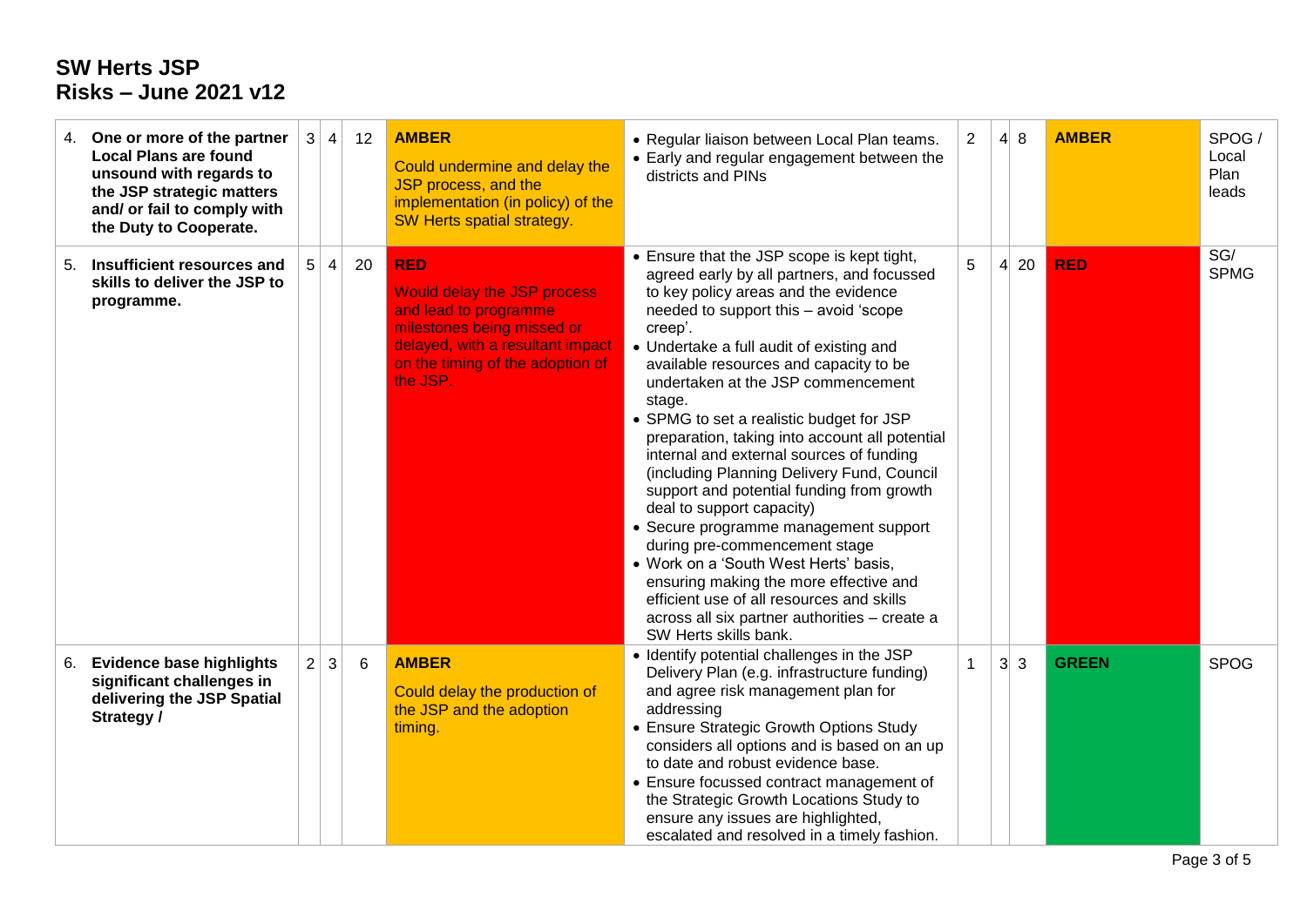|    | 4. One or more of the partner<br><b>Local Plans are found</b><br>unsound with regards to<br>the JSP strategic matters<br>and/ or fail to comply with<br>the Duty to Cooperate. |                | 3 4       | 12 | <b>AMBER</b><br>Could undermine and delay the<br>JSP process, and the<br>implementation (in policy) of the<br>SW Herts spatial strategy.                                             | • Regular liaison between Local Plan teams.<br>• Early and regular engagement between the<br>districts and PINs                                                                                                                                                                                                                                                                                                                                                                                                                                                                                                                                                                                                                                                                                                                                                                  | $\overline{2}$ |                 | $4 \vert 8$ | <b>AMBER</b> | SPOG/<br>Local<br>Plan<br>leads |
|----|--------------------------------------------------------------------------------------------------------------------------------------------------------------------------------|----------------|-----------|----|--------------------------------------------------------------------------------------------------------------------------------------------------------------------------------------|----------------------------------------------------------------------------------------------------------------------------------------------------------------------------------------------------------------------------------------------------------------------------------------------------------------------------------------------------------------------------------------------------------------------------------------------------------------------------------------------------------------------------------------------------------------------------------------------------------------------------------------------------------------------------------------------------------------------------------------------------------------------------------------------------------------------------------------------------------------------------------|----------------|-----------------|-------------|--------------|---------------------------------|
| 5. | Insufficient resources and<br>skills to deliver the JSP to<br>programme.                                                                                                       | 5 <sup>1</sup> | $\vert$ 4 | 20 | <b>RED</b><br>Would delay the JSP process<br>and lead to programme<br>milestones being missed or<br>delayed, with a resultant impact<br>on the timing of the adoption of<br>the JSP. | • Ensure that the JSP scope is kept tight,<br>agreed early by all partners, and focussed<br>to key policy areas and the evidence<br>needed to support this - avoid 'scope<br>creep'.<br>• Undertake a full audit of existing and<br>available resources and capacity to be<br>undertaken at the JSP commencement<br>stage.<br>• SPMG to set a realistic budget for JSP<br>preparation, taking into account all potential<br>internal and external sources of funding<br>(including Planning Delivery Fund, Council<br>support and potential funding from growth<br>deal to support capacity)<br>• Secure programme management support<br>during pre-commencement stage<br>• Work on a 'South West Herts' basis,<br>ensuring making the more effective and<br>efficient use of all resources and skills<br>across all six partner authorities - create a<br>SW Herts skills bank. | 5              | $\vert 4 \vert$ | 20          | <b>RED</b>   | SG/<br><b>SPMG</b>              |
| 6. | <b>Evidence base highlights</b><br>significant challenges in<br>delivering the JSP Spatial<br>Strategy /                                                                       | 2 <sup>1</sup> | 3         | 6  | <b>AMBER</b><br>Could delay the production of<br>the JSP and the adoption<br>timing.                                                                                                 | • Identify potential challenges in the JSP<br>Delivery Plan (e.g. infrastructure funding)<br>and agree risk management plan for<br>addressing<br>• Ensure Strategic Growth Options Study<br>considers all options and is based on an up<br>to date and robust evidence base.<br>• Ensure focussed contract management of<br>the Strategic Growth Locations Study to<br>ensure any issues are highlighted,<br>escalated and resolved in a timely fashion.                                                                                                                                                                                                                                                                                                                                                                                                                         | 1              |                 | $3\vert 3$  | <b>GREEN</b> | <b>SPOG</b>                     |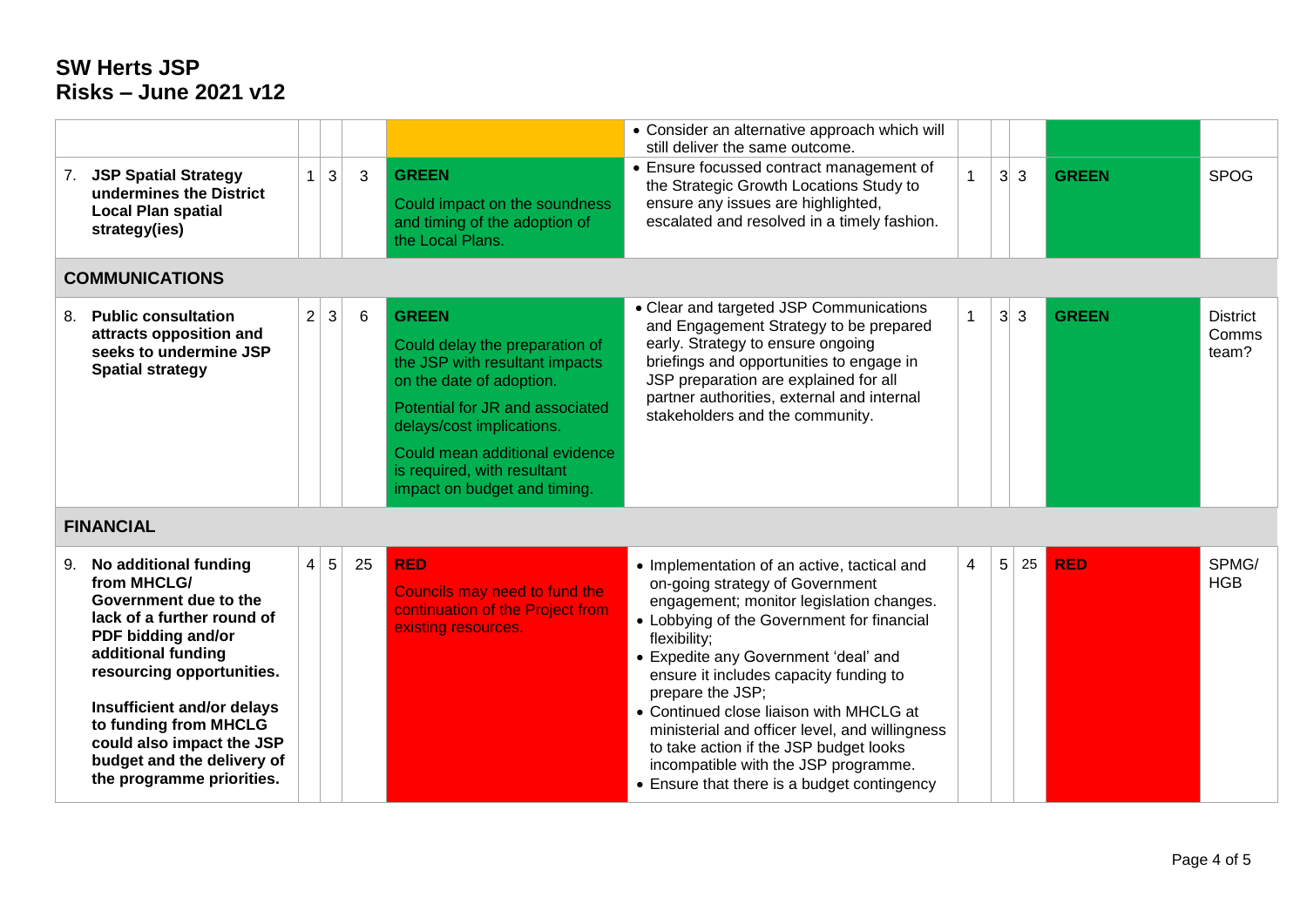|                                                                                                                                                                                                                                                                                                                        |                |                 |    |                                                                                                                                                                                                                                                                               | • Consider an alternative approach which will<br>still deliver the same outcome.                                                                                                                                                                                                                                                                                                                                                                                                                                             |              |   |            |              |                                   |
|------------------------------------------------------------------------------------------------------------------------------------------------------------------------------------------------------------------------------------------------------------------------------------------------------------------------|----------------|-----------------|----|-------------------------------------------------------------------------------------------------------------------------------------------------------------------------------------------------------------------------------------------------------------------------------|------------------------------------------------------------------------------------------------------------------------------------------------------------------------------------------------------------------------------------------------------------------------------------------------------------------------------------------------------------------------------------------------------------------------------------------------------------------------------------------------------------------------------|--------------|---|------------|--------------|-----------------------------------|
| 7. JSP Spatial Strategy<br>undermines the District<br><b>Local Plan spatial</b><br>strategy(ies)                                                                                                                                                                                                                       | $\mathbf{1}$   | 3               | 3  | <b>GREEN</b><br>Could impact on the soundness<br>and timing of the adoption of<br>the Local Plans.                                                                                                                                                                            | • Ensure focussed contract management of<br>the Strategic Growth Locations Study to<br>ensure any issues are highlighted,<br>escalated and resolved in a timely fashion.                                                                                                                                                                                                                                                                                                                                                     | 1            |   | $3\vert 3$ | <b>GREEN</b> | <b>SPOG</b>                       |
| <b>COMMUNICATIONS</b>                                                                                                                                                                                                                                                                                                  |                |                 |    |                                                                                                                                                                                                                                                                               |                                                                                                                                                                                                                                                                                                                                                                                                                                                                                                                              |              |   |            |              |                                   |
| 8. Public consultation<br>attracts opposition and<br>seeks to undermine JSP<br><b>Spatial strategy</b>                                                                                                                                                                                                                 | $\overline{2}$ | 3               | 6  | <b>GREEN</b><br>Could delay the preparation of<br>the JSP with resultant impacts<br>on the date of adoption.<br>Potential for JR and associated<br>delays/cost implications.<br>Could mean additional evidence<br>is required, with resultant<br>impact on budget and timing. | • Clear and targeted JSP Communications<br>and Engagement Strategy to be prepared<br>early. Strategy to ensure ongoing<br>briefings and opportunities to engage in<br>JSP preparation are explained for all<br>partner authorities, external and internal<br>stakeholders and the community.                                                                                                                                                                                                                                 | $\mathbf{1}$ |   | $3\vert 3$ | <b>GREEN</b> | <b>District</b><br>Comms<br>team? |
| <b>FINANCIAL</b>                                                                                                                                                                                                                                                                                                       |                |                 |    |                                                                                                                                                                                                                                                                               |                                                                                                                                                                                                                                                                                                                                                                                                                                                                                                                              |              |   |            |              |                                   |
| 9. No additional funding<br>from MHCLG/<br>Government due to the<br>lack of a further round of<br>PDF bidding and/or<br>additional funding<br>resourcing opportunities.<br>Insufficient and/or delays<br>to funding from MHCLG<br>could also impact the JSP<br>budget and the delivery of<br>the programme priorities. | $\overline{4}$ | $5\phantom{.0}$ | 25 | <b>RED</b><br>Councils may need to fund the<br>continuation of the Project from<br>existing resources.                                                                                                                                                                        | • Implementation of an active, tactical and<br>on-going strategy of Government<br>engagement; monitor legislation changes.<br>• Lobbying of the Government for financial<br>flexibility;<br>• Expedite any Government 'deal' and<br>ensure it includes capacity funding to<br>prepare the JSP;<br>• Continued close liaison with MHCLG at<br>ministerial and officer level, and willingness<br>to take action if the JSP budget looks<br>incompatible with the JSP programme.<br>• Ensure that there is a budget contingency | 4            | 5 | 25         | <b>RED</b>   | SPMG/<br><b>HGB</b>               |